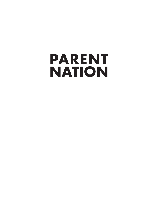# **PARENT NATION**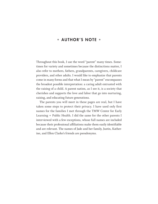## • AUTHOR'S NOTE •

Throughout this book, I use the word "parent" many times. Sometimes for variety and sometimes because the distinctions matter, I also refer to mothers, fathers, grandparents, caregivers, childcare providers, and other adults. I would like to emphasize that parents come in many forms and that what I mean by "parent" encompasses the broadest possible interpretation: a caring adult entrusted with the raising of a child. A parent nation, as I see it, is a society that cherishes and supports the love and labor that go into nurturing, raising, and educating future generations.

The parents you will meet in these pages are real, but I have taken some steps to protect their privacy. I have used only first names for the families I met through the TMW Center for Early Learning + Public Health. I did the same for the other parents I interviewed with a few exceptions, whose full names are included because their professional affiliations make them easily identifiable and are relevant. The names of Jade and her family, Justin, Katherine, and Ellen Clarke's friends are pseudonyms.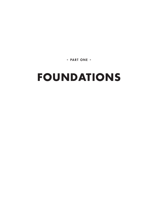• PART ONE •

## **FOUNDATIONS**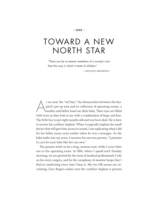## TOWARD A NEW NORTH STAR

"There can be no keener revelation of a society's soul than the way in which it treats its children."

—NELSON MANDELA<sup>1</sup>

A s we near the "red line," the demarcation between the hospital's pre-op area and its collection of operating rooms, a mother and father hand me their baby. Their eyes are filled with tears as they look at me with a combination of hope and fear. The little boy is just eight months old and was born deaf. He is here to receive his cochlear implant. When I surgically implant the small device that will give him access to sound, I am replicating what I did for his father many years earlier when he was a teenager. As the baby melts into my arms, I reassure his nervous parents, "I promise to care for your baby like he's my own."

The parents settle in for a long, anxious wait, while I carry their son to the operating room. In OR4, where I spend each Tuesday morning, we are greeted by the team of medical professionals I rely on for every surgery, and by the cacophony of monitor beeps that I find so comforting every time I hear it. My two OR nurses are circulating. Gary Rogers makes sure the cochlear implant is present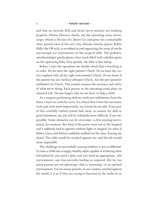and that my favorite drill and facial nerve monitor are working properly. Nelson Floresco checks out the operating room microscope, which is the size of a Smart Car and gives me a remarkably clear, precise view of the ear's tiny, delicate interior spaces. Robin Mills, the OR tech, is scrubbed in and organizing the array of sterile microscopic ear instruments on the surgical table. The pediatric anesthesiologist gently places a face mask filled with colorless gases on the squirming baby. Very quickly, the baby is fast asleep.

Before I start the operation, we double-check that everything is in order. Do we have the right patient? Check. Do we have the correct implant with all the right instruments? Check. Do we know if the patient has any medical allergies? Check. Are the pre-operative antibiotics in? Check. This routine ensures the accuracy and safety of what we're doing. Each person in the operating room plays an essential role. No one forgets why we are here: to help a child.

As a surgeon performing delicate work just millimeters from the brain, I have no room for error. It's critical that I have the necessary tools and, even more importantly, my A-team by my side. If any part of this carefully crafted system falls away, no matter my skill or good intentions, my job will be infinitely more difficult, if not impossible. Some obstacles can be overcome— a few missing instruments, for instance. But what if the power went out in the hospital and I suddenly had to operate without light or oxygen? Or what if Robin, Gary, and Nelson suddenly walked out the door, leaving me alone? The odds would be stacked against me, and the job would seem impossible.

The challenge of successfully rearing children is not so different. To raise a child into a happy, healthy adult capable of achieving their full potential, you need a plan, and you need an appropriate, safe environment, one that provides backup as required. But far too many parents are not operating—that is, parenting—in an optimal environment. For too many parents, in our country and throughout the world, it is as if they are trying to function in the midst of an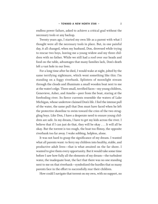endless power failure, asked to achieve a critical goal without the necessary tools or any backup.

Twenty years ago, I started my own life as a parent with what I thought were all the necessary tools in place. But, in one painful day, it all changed, when my husband, Don, drowned while trying to rescue two boys, leaving me a young widow and my three children with no father. While we still had a roof over our heads and food on the table, advantages that many families lack, Don's death left a vast hole in our lives.

For a long time after he died, I would wake at night, jolted by the same terrifying nightmare, which went something like this: I'm standing on a foggy riverbank. Splinters of moonlight stream through the clouds and illuminate a small wooden boat next to me at the water's edge. Three small, terrified faces—my young children, Genevieve, Asher, and Amelie— peer from the boat, staring at the foreboding river. Its fierce currents resemble the waters of Lake Michigan, whose undertow claimed Don's life. I feel the intense pull of the water, the same pull that Don must have faced when he left the protective shoreline to swim toward the cries of the two struggling boys. Like Don, I have a desperate need to ensure young children are safe. In my dream, I have to get my kids across the river. I believe that if I can just do that, they will be okay . . . It will all be okay. But the torrent is too rough, the boat too flimsy, the opposite riverbank too far away. I wake sobbing, helpless, alone.

It was not hard to grasp the significance of my dream. I wanted what all parents want: to ferry my children into healthy, stable, and productive adult lives— that is what awaited on the far shore. I wanted to give them every opportunity. But it would take some time before I saw how fully all the elements of my dream—the turbulent water, the inadequate boat, the fact that there was no one standing next to me on that riverbank—symbolized the hurdles that so many parents face in the effort to successfully rear their children.

How could I navigate that torrent on my own, with no support, no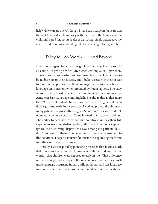help? How can anyone? Although I had been a surgeon for years and thought I had a deep familiarity with the lives of the families whose children I cared for, my struggles as a grieving, single parent gave me a new window of understanding into the challenges facing families.

## Thirty Million Words . . . and Beyond

I became a surgeon because I thought I could change lives, one child at a time. By giving deaf children cochlear implants, I give them access to sound, to hearing, and to spoken language. I want there to be no barriers to their success, and I believe restoring their access to sound accomplishes that. Sign language can provide a rich, early language environment when provided by fluent signers. The baby whose surgery I just described is now fluent in two languages— American Sign Language and English. But the reality is that more than 90 percent of deaf children are born to hearing parents who don't sign. And early in my practice, I noticed profound differences in my patients' progress after surgery. Some children excelled developmentally, others not at all. Some learned to talk, others did not. The ability to hear, it turned out, did not always unlock their full capacity to learn and thrive intellectually. I could neither accept nor ignore the disturbing disparities I saw among my patients, but I didn't understand them. Compelled to discover their cause and to find solutions, I began a journey far outside the operating room and into the world of social science.

Initially, I was inspired by pioneering research that found a stark difference in the amount of language— the actual number of words—that children were exposed to early in life.<sup>2</sup> That difference often, although not always, fell along socioeconomic lines, with more language occurring in more affluent homes and less language in homes where families have been denied access to educational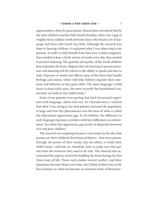opportunities, often for generations. Researchers calculated that by the time children reached their fourth birthday, there was a gap of roughly thirty million words between those who heard a lot of language and those who heard very little. Although the research was done in hearing children, it explained what I was observing in my patients. In order to fully benefit from their new cochlear implants, they needed to hear a lively stream of words every day, they needed to practice listening. The quantity and quality of the words children hear stimulate the brain. Regions that are learning to process grammar and meaning will be critical to the ability to speak and later to read. Exposure to words also affects areas of the brain that handle feelings and reason, which will help children regulate their emotions and behavior as they grow older. The more language a child hears in those early years, the more securely the foundational connections are built in that child's brain.<sup>3</sup>

Some of my patients were getting that kind of essential experience with language, others were not. As I learned more, I realized that what I was seeing in my deaf patients mirrored the population at large and that this phenomenon was the basis of what is called the educational opportunity gap. In all children, the difference in early language exposure correlates with later differences in achievement. Too often that opportunity gap results in disparities between rich and poor children.<sup>4</sup>

The research was inspiring because it was based on the idea that parents are their children's first brain architects—that every parent, through the power of their words, has the ability to build their child's brain— and that we, therefore, have to make sure that parents have the resources they need to do that. The research also accentuated the urgency of actively building the brain during the first three years of life. Those early studies weren't perfect, and their limitations became clearer over time, but I think of them now as the first sentence in what has become an extensive body of literature.5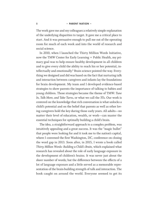The work gave me and my colleagues a relatively simple explanation of the underlying disparities to target. It gave me a critical place to start. And it was persuasive enough to pull me out of the operating room for much of each week and into the world of research and social science.

In 2010, when I launched the Thirty Million Words Initiative, now the TMW Center for Early Learning + Public Health, my primary goal was to help ensure healthy development in all children and to give every child the ability to reach his or her potential, intellectually and emotionally.<sup>6</sup> Brain science pointed the way. Everything we designed and did was based on the fact that nurturing talk and interaction between caregivers and infants lay the foundations for brain development. My team and I developed evidence-based strategies to show parents the importance of talking to babies and young children. Those strategies became the theme of TMW: *Tune In, Talk More, and Take Turns,* or what we call the 3Ts. Our work is centered on the knowledge that rich conversation is what unlocks a child's potential and on the belief that parents as well as other loving caregivers hold the key during those early years. All adults—no matter their level of education, wealth, or work— can master the essential techniques for optimally building a child's brain.

The idea, a straightforward approach to a complex problem, was intuitively appealing and a great success. It was the "magic bullet" that people were looking for and it took me to the nation's capital, where I convened the first Washington, DC, conference on closing the word gap in 2013. Soon after, in 2015, I wrote a book called *Thirty Million Words: Building a Child's Brain,* which explained what research has revealed about the role of early language exposure in the development of children's brains. It was never just about the sheer number of words; but the difference between the effects of a lot of language exposure and a little served as a memorable representation of the brain-building strength of talk and interaction. The book caught on around the world. Everyone seemed to get its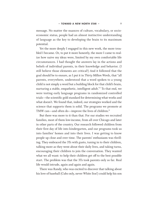message. No matter the nuances of culture, vocabulary, or socioeconomic status, people had an almost instinctive understanding of language as the key to developing the brain to its maximum potential.

Yet the more deeply I engaged in this new work, the more troubled I became. Or, to put it more honestly, the more I came to realize how naive my ideas were, limited by my own comfortable life circumstances. I had thought the answers lay in the actions and beliefs of individual parents, in their knowledge and behavior. (I still believe those elements are critical!) And it followed that the goal should be to ensure, as I put it in *Thirty Million Words*, that "all parents, everywhere, understood that a word spoken to a young child is not simply a word but a building block for that child's brain, nurturing a stable, empathetic, intelligent adult."<sup>7</sup> To that end, we were testing early language programs in randomized controlled trials—the scientific gold standard for determining what works and what doesn't. We found that, indeed, our strategies worked and the science that supports them is solid. The programs we promote at TMW can—and often do—improve the lives of children.<sup>8</sup>

But there was more to it than that. For our studies we recruited families, most of them low-income, from all over Chicago and later in other parts of the country. Our research followed children from their first day of life into kindergarten, and our programs took us into families' homes and into their lives. I was getting to know people up close and over time. The parents' enthusiasm was thrilling. They embraced the 3Ts with gusto, tuning in to their children, talking more as they went about their daily lives, and taking turns, encouraging their children to join the conversation. They wanted what we all want: to help their children get off to the best possible start. The problem was that the 3Ts took parents only so far. Real life would intrude, again and again and again.

There was Randy, who was excited to discover that talking about his love of baseball (Cubs only, never White Sox!) could help his son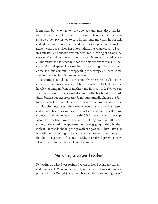learn math but who had to work two jobs and, most days, had less than thirty minutes to spend with his kids. There was Sabrina, who gave up a well-paying job to care for her husband when he got sick and whose family ended up spending over two years in a homeless shelter, where she raised her two children, the youngest still a baby, in a stressful and chaotic environment. Most searing of all was the story of Michael and Keyonna, whose son, Mikeyon, missed out on all his father had to teach him for the first five years of his life because Michael spent that time in prison waiting to be tried for a crime he didn't commit—not appealing or serving a sentence, mind you, just waiting for his case to be heard.

Parenting is not done in a vacuum. Our research could not be, either. The circumstances varied, but everywhere I looked I saw the hurdles looming in front of mothers and fathers. At TMW, we can share with parents the knowledge and skills that build their children's brains; but our programs do not substantially change the dayto- day lives of the parents who participate. The larger realities of a family's circumstances—their work constraints, economic stresses, and mental health as well as the injustices and bad luck they are subject to—all matter as much as the 3Ts for healthy brain development. They either allow for the brain-building power of talk to occur or, if they limit the opportunities for engaging in the 3Ts, they stifle it like weeds choking the growth of a garden. When I saw just how difficult parenting is in a country that does so little to support the ability of parents to facilitate healthy brain development, I knew I had to learn more. I hoped I could *do* more.

## Mirroring a Larger Problem

Reflecting on what I was seeing, I began to look beyond my patients and families at TMW to the entirety of the more than sixty million parents in the United States who have children under eighteen.<sup>9</sup>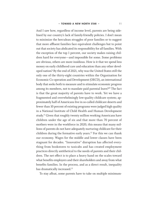And I saw how, regardless of income level, parents are being sidelined by our country's lack of family-friendly policies. I don't mean to minimize the herculean struggles of poor families or to suggest that more affluent families face equivalent challenges but to point out that society has abdicated its responsibility for *all* families. With the exception of the top 1 percent, our society makes raising children hard for everyone— and impossible for some. Some problems are obvious, others are more insidious. How is it that we spend less money on early childhood care and education than any other developed nation? By the end of 2021, why was the United States still the only one of the thirty- eight countries within the Organisation for Economic Co- operation and Development (OECD), an international body that seeks both to measure and to stimulate economic progress among its members, not to mandate paid parental leave?<sup>10</sup> The fact is that the great majority of parents have to work. Yet we have a fragmented and overwhelmingly low- quality childcare system; approximately half of Americans live in so- called childcare deserts and fewer than 10 percent of existing programs were judged high quality in a National Institute of Child Health and Human Development study.<sup>11</sup> Given that roughly twenty million working Americans have children under the age of six and that more than 70 percent of mothers were in the workforce in 2020, this means that many millions of parents do not have adequately nurturing childcare for their children during the formative early years.<sup>12</sup> For this we can thank our economy. Wages for the middle and lower classes have been stagnant for decades. "Innovative" disruption has affected everything from bookstores to taxicabs and has created employment practices directly antithetical to the needs of parents and their children. The net effect is to place a heavy hand on the scales toward what benefits employers and their shareholders and away from what benefits families. In the process, and as a direct result, inequality has dramatically increased.<sup>13</sup>

To stay afloat, some parents have to take on multiple minimum-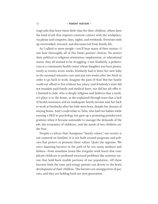wage jobs that leave them little time for their children; others have the kind of job that requires constant contact with the workplace, via phone and computer, days, nights, and weekends. Everyone ends up overworked, stressed, and disconnected from family life.

As I talked to more people—you'll hear many of their stories—I saw how thoroughly all of this limits parents' choices. No matter their political or religious orientation, employment, or educational status, they all seemed to be struggling. I met Kimberly, a pediatrician at a community health center whose daughter was born prematurely at twenty-seven weeks. Kimberly had to leave her new baby in the neonatal intensive care unit just two weeks after her birth in order to go back to work. Imagine the pain of that! But her family could not afford to live without her salary, and Kimberly's state did not mandate paid family and medical leave, nor did her job offer it. I listened to Jade, who is deeply religious and believes that a mother's place is in the home, as she explained through tears that a lack of health insurance and an inadequate family income sent her back to work at Starbucks after her kids were born, despite her dreams of staying home. And I could relate to Talia, who had two babies while earning a PhD in psychology but gave up a promising postdoctoral position when it became untenable to manage the demands of the job, the economics of childcare, and the needs of two children under four.

Despite a culture that champions "family values," our society is not centered on families. It is not built around programs and policies that protect or promote those values. Quite the opposite. We erect daunting barriers in the path of far too many mothers and fathers—from mundane issues like irregular work hours that complicate childcare to profound structural problems like systemic racism that hold back sizable portions of our population. All these barriers limit the time and energy parents can devote to the brain development of their children. The barriers are unsupportive of parents, and they are holding back our next generation.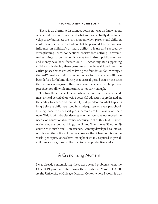There is an alarming disconnect between what we know about what children's brains need and what we have actually done to develop those brains. At the very moment when parents and children could most use help, and when that help would have an outsize influence on children's ultimate ability to learn and succeed by strengthening neural connections, society does nothing—or worse, makes things harder. When it comes to children, public attention and money have been focused on K–12 schooling. But supporting children only during these years means we have skipped over the earlier phase that is critical to laying the foundation for learning at the K-12 level. Our efforts come too late for many, who will have been left so far behind during that critical period that by the time they get to kindergarten, they may never be able to catch up. Even preschool for all, while important, is not early enough.

The first three years of life are when the brain is in its most rapid, most critical period of growth. Successful education is predicated on the ability to learn, and that ability is dependent on what happens long before a child sets foot in kindergarten or even preschool. During those early critical years, parents are left largely on their own. This is why, despite decades of effort, we have not moved the needle on educational outcomes or equity. In the OECD's 2018 international educational rankings, the United States ranks 38 out of 79 countries in math and 19 in science.<sup>14</sup> Among developed countries, ours is near the bottom of the pack. We are the richest country in the world, per capita, yet we have lost sight of what is required to give all children a strong start on the road to being productive adults.

### A Crystallizing Moment

I was already contemplating these deep- seated problems when the COVID-19 pandemic shut down the country in March of 2020. At the University of Chicago Medical Center, where I work, it was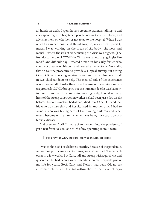all-hands-on-deck. I spent hours screening patients, talking to and corresponding with frightened people, noting their symptoms, and advising them on whether or not to go to the hospital. When I was on call as an ear, nose, and throat surgeon, my medical specialty meant I was working on the areas of the body— the nose and mouth—where the risk of transmitting the virus was highest. (The first doctor to die of COVID in China was an otolaryngologist like me.)<sup>15</sup> One difficult day I treated a man in his early forties who could not breathe on his own and needed a tracheotomy. Normally, that's a routine procedure to provide a surgical airway, but during COVID, it became a high-stakes procedure that required me to call in two chief residents to help. The medical side of the experience was exponentially harder than usual because of the anxiety and extra protocols COVID brought, but the human side of it was harrowing. As I stared at the man's thin, wasting body, I could see only hints of the strong construction worker he had been just a few weeks before. I knew his mother had already died from COVID-19 and that his wife was also sick and hospitalized in another unit. I had to wonder who was taking care of their young children and what would become of this family, which was being torn apart by this terrible disease.

And then, on April 21, more than a month into the pandemic, I got a text from Nelson, one-third of my operating room A-team.

Pls pray for Gary Rogers. He was intubated today.

I was so shocked I could barely breathe. Because of the pandemic, we weren't performing elective surgeries, so we hadn't seen each other in a few weeks. But Gary, tall and strong with a quick wit and quicker smile, had been a warm, steady, supremely capable part of my life for years. Both Gary and Nelson had been OR nurses at Comer Children's Hospital within the University of Chicago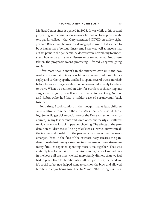Medical Center since it opened in 2005. It was while at his second job, caring for dialysis patients—work he took on to help his daughters pay for college—that Gary contracted COVID. As a fifty-eightyear-old Black man, he was in a demographic group that seemed to be at higher risk of serious illness. And I knew as well as anyone that at that point in the pandemic, as doctors were scrambling to understand how to treat this new disease, once someone required a ventilator, the prognosis wasn't promising. I feared Gary was going to die.

After more than a month in the intensive care unit and two weeks on a ventilator, Gary was left with generalized muscular atrophy and cardiomyopathy and had to spend several weeks in rehab before he was strong enough to go home—and ultimately to return to work. When we reunited in OR4 for our first cochlear implant surgery late in June, I was flooded with relief to have Gary, Nelson, and Robin (who had had a milder case of coronavirus) back together.

For a time, I took comfort in the thought that at least children were relatively immune to the virus. Alas, that was wishful thinking. Some did get sick (especially once the Delta variant of the virus arrived), many lost parents and loved ones, and nearly all suffered terribly from the loss of in- person schooling. The effects of the pandemic on children are still being calculated as I write. But within all the trauma and hardship of the pandemic, a sliver of positive news emerged. Even in the face of the extraordinary stresses the pandemic created—in many cases precisely because of those stresses many families reported spending more time together. That was certainly true for me. With my kids (now in high school and college) in the house all the time, we had more family dinners than we had had in years. Even for families who suffered job losses, the pandemic's social safety nets helped some to cushion the blow and allowed families to enjoy being together. In March 2020, Congress's first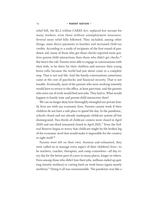relief bill, the \$2.2 trillion CARES Act, replaced lost income for many workers, even those without unemployment insurance. Several more relief bills followed. They included, among other things, more direct payments to families and increased child tax credits. According to a study of recipients of the first round of pandemic aid, many of those who got those checks reported more positive parent-child interactions than those who didn't get checks.<sup>16</sup> But here's the rub: Parents were able to engage in conversations with their kids, to be there for their children and nurture their young brain cells, because the world had just about come to a complete stop. That is not real life. And the family conversations sometimes came at the cost of paychecks and financial security. That is not tenable. Eventually, most of the parents who were working remotely would have to return to the office, at least part-time, and the parents who were out of work would find new jobs. They had to. What would happen to family time and parent-child interaction then?

We can no longer deny how thoroughly entangled our private family lives are with our economic lives. Parents cannot work if their children do not have a safe place to spend the day. In the pandemic, schools closed and our already inadequate childcare system all but disintegrated. Two-thirds of childcare centers were closed in April 2020 and one-third remained closed in April 2021.17 Even the Federal Reserve began to worry that childcare might be the broken leg of the economic stool that would make it impossible for the country to right itself.<sup>18</sup>

Parents were left on their own. Anxious and exhausted, they were called on to manage every aspect of their children's lives— to be teachers, coaches, therapists, and camp counselors— all day every day for the better part of a year in many places, longer in others. Even among those who didn't lose their jobs, millions ended up quitting (mostly mothers) or cutting back on work hours (again mostly mothers).19 Doing it all was unsustainable. The pandemic was like a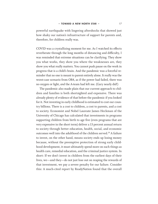powerful earthquake with lingering aftershocks that showed just how shaky our nation's infrastructure of support for parents and, therefore, for children really was.

COVID was a crystallizing moment for me. As I watched its effects reverberate through the long months of distancing and difficulty, I was reminded that extreme situations can be clarifying. They show you what works, they show you where the weaknesses are, they show you what really matters. You cannot push pause on the work in progress that is a child's brain. And the pandemic was a forceful reminder that no one is meant to parent entirely alone. It really was the worst-case scenario from OR4, as if the power had failed, there was no oxygen or light, *and* the A- team had left me. (Gary nearly did!)

The pandemic also made plain that our current approach to children and families is both shortsighted and expensive. There was already plenty of evidence of that before the pandemic if you looked for it. Not investing in early childhood is estimated to cost our country billions. There is a cost to children, a cost to parents, and a cost to society. Economist and Nobel Laureate James Heckman of the University of Chicago has calculated that investments in programs supporting children from birth to age five (even programs that are very expensive in the short term) deliver a 13 percent annual return to society through better education, health, social, and economic outcomes well into the adulthood of the children served.<sup>20</sup> A failure to invest, on the other hand, means society ends up losing money because, without the preemptive protection of strong early childhood development, it must ultimately spend more on such things as health care, remedial education, and the criminal justice system. In short: If we don't invest in children from the earliest days of their lives, we—and they—do not just lose out on reaping the rewards of that investment, we pay a severe penalty for our failure. Consider this: A much-cited report by ReadyNation found that the overall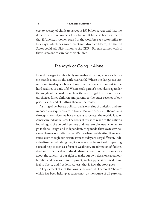cost to society of childcare issues is \$57 billion a year and that the direct cost to employers is \$12.7 billion. It has also been estimated that if American women stayed in the workforce at a rate similar to Norway's, which has government-subsidized childcare, the United States could add \$1.6 trillion to the GDP.<sup>21</sup> Parents cannot work if there is no one to care for their children.

## The Myth of Going It Alone

How did we get to this wholly untenable situation, where each parent stands alone on the dark riverbank? Where the dangerous currents and inadequate boats of my dream are made manifest in the hard realities of daily life? Where each parent's shoulders sag under the weight of the load? Somehow the centrifugal force of our societal choices flings children and parents to the outer reaches of our priorities instead of putting them at the center.

A string of deliberate political decisions, sins of omission and unintended consequences are to blame. But one consistent theme runs through the choices we have made as a society: the mythic idea of American individualism. The roots of this idea reach to the nation's founding, to the colonial settlers and western pioneers who *had* to go it alone. Tough and independent, they made their own way because there was no alternative. We have been celebrating them ever since, even though our circumstances today are very different. Individualism perpetuates going it alone as a virtuous ideal. Expecting societal help is seen as a form of weakness, an admission of failure. And since the ideal of individualism is bound up with our ideas about the sanctity of our right to make our own decisions about our families and how we want to parent, such support is deemed inimical to liberty and freedom. At least that is how the story goes.

A key element of such thinking is the concept of parental "choice," which has been held up as sacrosanct, as the source of all parental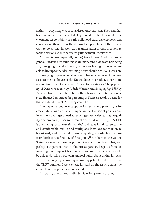authority. Anything else is considered un- American. The result has been to convince parents that they should be able to shoulder the enormous responsibility of early childhood care, development, and education on their own without formal support. Indeed, they should *want* to do so, should see it as a manifestation of their freedom to make decisions about their family life without interference.

As parents, we (especially moms) have internalized this propaganda. Burdened by guilt, most are managing a delicate balancing act, struggling to make it work, yet forever feeling inadequate, unable to live up to the ideal we imagine we should achieve. Occasionally, we get glimpses of an alternate universe when one of our own escapes the madhouse of the United States to another, saner country and finds that it really doesn't have to be this way. The popularity of *Perfect Madness* by Judith Warner and *Bringing Up Bébé* by Pamela Druckerman, both bestselling books that note the ample state-financed resources for parenting in France, reveals a desire for things to be different. And they could be.

In many other countries, support for family and parenting is increasingly recognized as an important part of social policies and investment packages aimed at reducing poverty, decreasing inequality, and promoting positive parental and child well-being. UNICEF is advocating for at least six months' paid leave for all parents, safe and comfortable public and workplace locations for women to breastfeed, and universal access to quality, affordable childcare from birth to the first day of first grade.<sup>22</sup> But here in the United States, we seem to have bought into the status quo idea. That, and perhaps our personal sense of failure as parents, keeps us from demanding more support from society. We are convinced we should be able to do this on our own and feel guilty about asking for help. I see this among my fellow physicians, my patients and friends, and the TMW families. I see it on the left and on the right, among the affluent and the poor. Few are spared.

In reality, choice and individualism for parents are myths—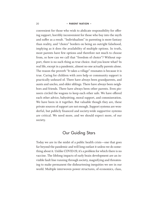convenient for those who wish to abdicate responsibility for offering support, horribly inconvenient for those who buy into the myth and suffer as a result. "Individualism" in parenting is more fantasy than reality, and "choice" borders on being an outright falsehood, implying as it does the availability of multiple options. In truth, most parents have few options and therefore not much to choose from, so how can we call that "freedom of choice"? Without support, there is no such thing as true choice. And you know what? In real life, except in a pandemic, almost no one actually parents alone. The reason the proverb "It takes a village" resonates is because it is true. Caring for children with zero help or community support is practically unheard of. There have always been grandparents, and aunts and uncles, and older siblings. There have always been neighbors and friends. There have always been other parents. Even pioneers circled the wagons to keep each other safe. We have offered each other advice, babysitting, moral support, and commiseration. We have been in it together. But valuable though they are, these private sources of support are not enough. Support systems are wonderful, but publicly financed and society-wide supportive systems are critical. We need more, and we should expect more, of our society.

## Our Guiding Stars

Today we are in the midst of a public health crisis— one that goes far beyond the pandemic and will long outlast it unless we do something about it. Unlike COVID-19, it's a problem for which there is no vaccine. The lifelong impacts of early brain development are an invisible fault line running through society, magnifying and threatening to make permanent the disheartening inequities we see in our world. Multiple interwoven power structures, of economics, class,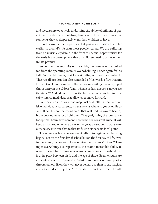and race, ignore or actively undermine the ability of millions of parents to provide the stimulating, language-rich early learning environments they so desperately want their children to have.

In other words, the disparities that plague our nation begin far earlier in a child's life than most people realize. We are suffering from an invisible epidemic in the form of unequal opportunities for the early brain development that all children need to achieve their innate promise.

Sometimes the enormity of this crisis, the same one that pulled me from the operating room, is overwhelming. I once again feel as I did in my old dream, that I am standing on the dark riverbank. That we all are. But I'm also reminded of the words of Dr. Martin Luther King Jr. in the midst of the battle over civil rights that gripped this country in the 1960s: "Only when it is dark enough can you see the stars."23 And I do see. I see with clarity two separate but inextricably intertwined ideas that allow us to move forward.

First, science gives us a road map. Just as it tells us what to prioritize individually as parents, it can show us where to go societally as well. It can lay out the coordinates that will lead us toward healthy brain development for all children. That goal, laying the foundation for optimal brain development, should be our constant guide. It will keep us focused on where we want to go as we set out to transform our society into one that makes its future citizens its focal point.

The science of brain development tells us to begin when learning begins, not on the first day of school but on the first day of life. Even in the womb, babies learn to recognize their parents' voices. 24 Timing is everything. Neuroplasticity, the brain's incredible ability to organize itself by forming new neural connections throughout life, is at its peak between birth and the age of three. Brain circuits are a use-it-or-lose-it proposition. While our brains remain plastic throughout our lives, they will never be more so than in the magical and essential early years.25 To capitalize on this time, the all-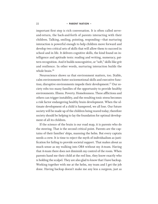important first step is rich conversation. It is often called serveand-return, the back-and-forth of parents interacting with their children. Talking, smiling, pointing, responding— that nurturing interaction is powerful enough to help children move forward and develop two critical sets of skills that will allow them to succeed in school and in life. It delivers cognitive skills, the kind found on intelligence and aptitude tests: reading and writing, numeracy, pattern recognition. And it builds noncognitive, or "soft," skills like grit and resilience. In other words, nurturing interaction builds the whole brain.<sup>26</sup>

Neuroscience shows us that environment matters, too. Stable, calm environments foster socioemotional skills and executive function; disruptive environments impede their development.<sup>27</sup> Our society robs too many families of the opportunity to provide healthy environments. Illness. Poverty. Homelessness. These afflictions and others can trigger instability, and the resulting toxic stress becomes a risk factor endangering healthy brain development. When the ultimate development of a child is hampered, we all lose. Our future society will be made up of the children being reared today; therefore society should be helping to lay the foundation for optimal development of all its children.

If the science of the brain is our road map, it is parents who do the steering. That is the second critical point. Parents are the captains of their families' ships, manning the helm. But every captain needs a crew. It is time to reject the myth of individualism as justification for failing to provide societal support. That makes about as much sense as my walking into OR4 without my A-team. Having that A-team there does not diminish my control of the room. When parents hand me their child at the red line, they know exactly who is holding the scalpel. They are also glad to know that I have backup. Working together with me at the helm, my team and I get the job done. Having backup doesn't make me any less a surgeon, just as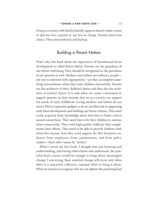living in a society with family-friendly supports doesn't make a mom or dad any less a parent or any less in charge. Parents need true choice. They need authority *and* backup.

### Building a Parent Nation

That's why this book about the importance of foundational brain development is called *Parent Nation*. Parents are the guardians of our future well-being. They should be recognized as the guardians of our present as well. Mothers and fathers are ordinary people not one is endowed with superpowers—yet they accomplish something extraordinary when they raise children successfully. Parents are the architects of their children's brains and thus also the architects of society'*s* future. It is only when we create a movement to support parents on their journey that we as a society can support the needs of early childhood. Loving mothers and fathers do not need a PhD or expensive gadgets to do an excellent job at supporting early brain development and building our future citizens. They need easily acquired, basic knowledge about how best to foster critical neural connections. They need time with their children to nurture those connections. They need high-quality childcare that complements their efforts. They need to be able to provide children with stress-free homes. And they need support for this formative endeavor from employers, from communities, and from policy makers—that's who I mean by "society."

When I wrote my first book, I thought that just knowing and understanding, and having others know and understand, the powerful brain science would be enough to bring about meaningful change. I was wrong. Real, essential change will occur only when there is a concerted, collective, national effort to bring it about. What we need is to recognize that we can lighten the parenting load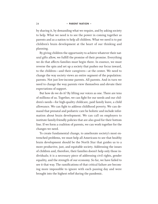by sharing it, by demanding what we require, and by asking society to help. What we need is to see the power in coming together as parents and as a nation to help all children. What we need is to put children's brain development at the heart of our thinking and planning.

By giving children the opportunity to achieve whatever their natural gifts allow, we fulfill the promise of their promise. Everything we do that affects families must begin there. In essence, we must reverse the spin and set up a society that pushes our focus inward, to the children— and their caregivers— at the center. We need to change the way society views an entire segment of the population: parents. Not just low-income parents. All parents. And in turn we need to change the way parents view themselves and elevate their expectations of support.

But how do we do it? By lifting our voices as one. There are tens of millions of us. Together, we can fight for our needs and our children's needs—for high-quality childcare, paid family leave, a child allowance. We can fight to address childhood poverty. We can demand that prenatal and pediatric care be holistic and include information about brain development. We can call on employers to institute family-friendly policies that are also good for their bottom line. If we form a coalition of parents, we can work together for the changes we need.

To create fundamental change, to ameliorate society's most entrenched problems, we must help all Americans to see that healthy brain development should be the North Star that guides us to a more productive, just, and equitable society. Addressing the issues of children and, therefore, their families doesn't help only those individuals; it is a necessary piece of addressing civil rights, gender equality, and the strength of our economy. So far, we have failed to see it that way. The ramifications of that critical failure are becoming more impossible to ignore with each passing day and were brought into the highest relief during the pandemic.